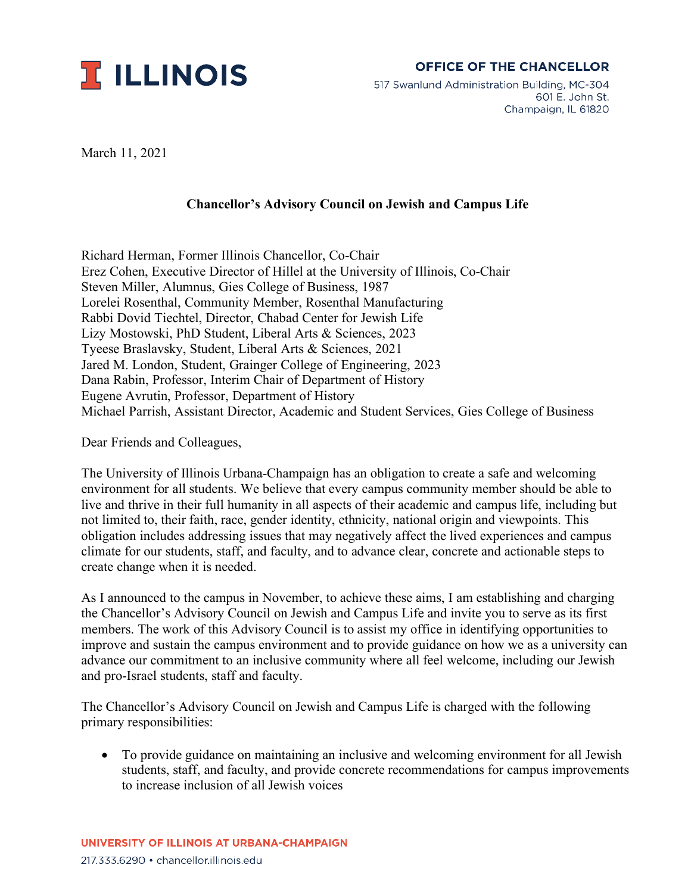

## **OFFICE OF THE CHANCELLOR**

517 Swanlund Administration Building, MC-304 601 E. John St. Champaign, IL 61820

March 11, 2021

## **Chancellor's Advisory Council on Jewish and Campus Life**

Richard Herman, Former Illinois Chancellor, Co-Chair Erez Cohen, Executive Director of Hillel at the University of Illinois, Co-Chair Steven Miller, Alumnus, Gies College of Business, 1987 Lorelei Rosenthal, Community Member, Rosenthal Manufacturing Rabbi Dovid Tiechtel, Director, Chabad Center for Jewish Life Lizy Mostowski, PhD Student, Liberal Arts & Sciences, 2023 Tyeese Braslavsky, Student, Liberal Arts & Sciences, 2021 Jared M. London, Student, Grainger College of Engineering, 2023 Dana Rabin, Professor, Interim Chair of Department of History Eugene Avrutin, Professor, Department of History Michael Parrish, Assistant Director, Academic and Student Services, Gies College of Business

Dear Friends and Colleagues,

The University of Illinois Urbana-Champaign has an obligation to create a safe and welcoming environment for all students. We believe that every campus community member should be able to live and thrive in their full humanity in all aspects of their academic and campus life, including but not limited to, their faith, race, gender identity, ethnicity, national origin and viewpoints. This obligation includes addressing issues that may negatively affect the lived experiences and campus climate for our students, staff, and faculty, and to advance clear, concrete and actionable steps to create change when it is needed.

As I announced to the campus in November, to achieve these aims, I am establishing and charging the Chancellor's Advisory Council on Jewish and Campus Life and invite you to serve as its first members. The work of this Advisory Council is to assist my office in identifying opportunities to improve and sustain the campus environment and to provide guidance on how we as a university can advance our commitment to an inclusive community where all feel welcome, including our Jewish and pro-Israel students, staff and faculty.

The Chancellor's Advisory Council on Jewish and Campus Life is charged with the following primary responsibilities:

• To provide guidance on maintaining an inclusive and welcoming environment for all Jewish students, staff, and faculty, and provide concrete recommendations for campus improvements to increase inclusion of all Jewish voices